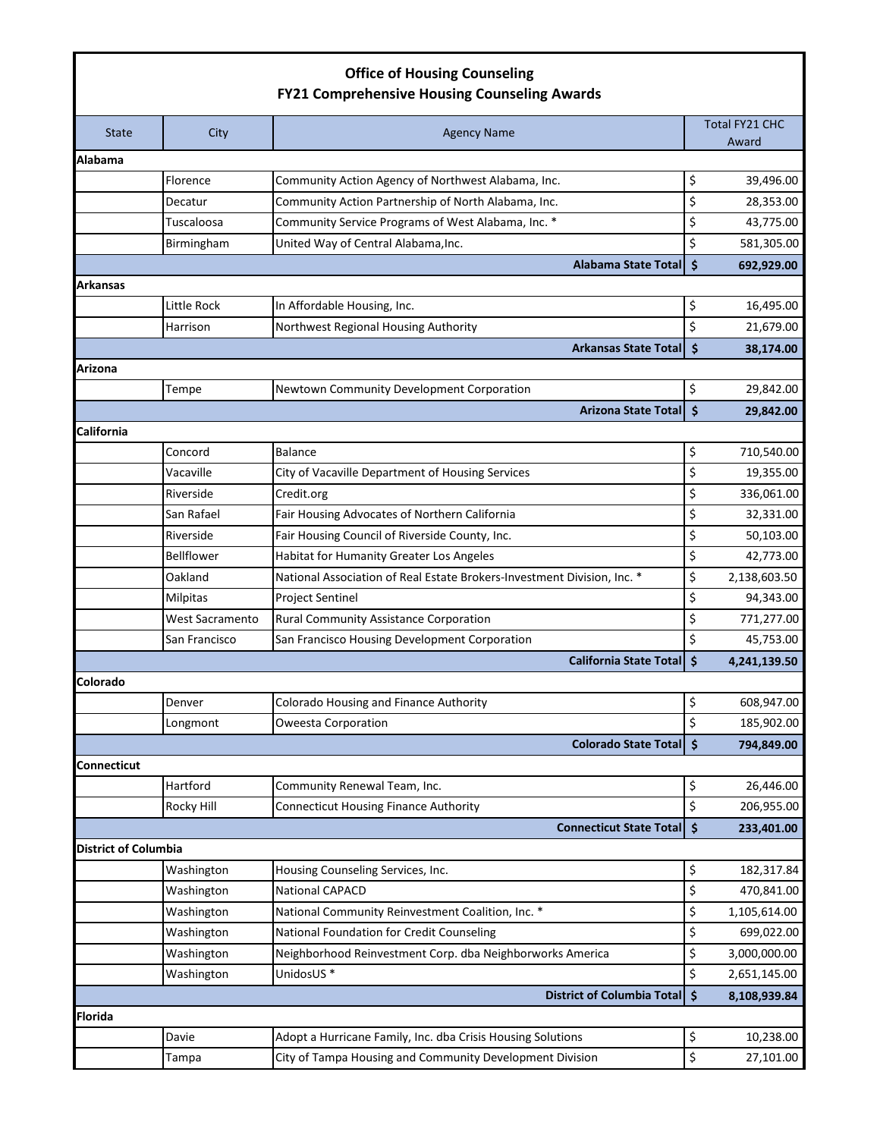## **Office of Housing Counseling FY21 Comprehensive Housing Counseling Awards**

| <b>State</b>                | City            | <b>Agency Name</b>                                                      |                     | Total FY21 CHC<br>Award |
|-----------------------------|-----------------|-------------------------------------------------------------------------|---------------------|-------------------------|
| <b>Alabama</b>              |                 |                                                                         |                     |                         |
|                             | Florence        | Community Action Agency of Northwest Alabama, Inc.                      | \$                  | 39,496.00               |
|                             | Decatur         | Community Action Partnership of North Alabama, Inc.                     | \$                  | 28,353.00               |
|                             | Tuscaloosa      | Community Service Programs of West Alabama, Inc. *                      | \$                  | 43,775.00               |
|                             | Birmingham      | United Way of Central Alabama, Inc.                                     | \$                  | 581,305.00              |
|                             |                 | <b>Alabama State Total</b>                                              | $\ddot{\bm{\zeta}}$ | 692,929.00              |
| Arkansas                    |                 |                                                                         |                     |                         |
|                             | Little Rock     | In Affordable Housing, Inc.                                             | \$                  | 16,495.00               |
|                             | Harrison        | Northwest Regional Housing Authority                                    | \$                  | 21,679.00               |
|                             |                 | <b>Arkansas State Total</b>                                             | $\ddot{\bm{\zeta}}$ | 38,174.00               |
| Arizona                     |                 |                                                                         |                     |                         |
|                             | Tempe           | Newtown Community Development Corporation                               | \$                  | 29,842.00               |
|                             |                 | <b>Arizona State Total</b>                                              | $\zeta$             | 29,842.00               |
| California                  |                 |                                                                         |                     |                         |
|                             | Concord         | Balance                                                                 | \$                  | 710,540.00              |
|                             | Vacaville       | City of Vacaville Department of Housing Services                        | \$                  | 19,355.00               |
|                             | Riverside       | Credit.org                                                              | \$                  | 336,061.00              |
|                             | San Rafael      | Fair Housing Advocates of Northern California                           | \$                  | 32,331.00               |
|                             | Riverside       | Fair Housing Council of Riverside County, Inc.                          | \$                  | 50,103.00               |
|                             | Bellflower      | Habitat for Humanity Greater Los Angeles                                | \$                  | 42,773.00               |
|                             | Oakland         | National Association of Real Estate Brokers-Investment Division, Inc. * | \$                  | 2,138,603.50            |
|                             | Milpitas        | <b>Project Sentinel</b>                                                 | \$                  | 94,343.00               |
|                             | West Sacramento | Rural Community Assistance Corporation                                  | \$                  | 771,277.00              |
|                             | San Francisco   | San Francisco Housing Development Corporation                           | \$                  | 45,753.00               |
|                             |                 | <b>California State Total</b>                                           | Ś                   | 4,241,139.50            |
| Colorado                    |                 |                                                                         |                     |                         |
|                             | Denver          | Colorado Housing and Finance Authority                                  | \$                  | 608,947.00              |
|                             | Longmont        | <b>Oweesta Corporation</b>                                              | \$                  | 185,902.00              |
|                             |                 | Colorado State Total \$                                                 |                     | 794,849.00              |
| Connecticut                 |                 |                                                                         |                     |                         |
|                             | Hartford        | Community Renewal Team, Inc.                                            | \$                  | 26,446.00               |
|                             | Rocky Hill      | <b>Connecticut Housing Finance Authority</b>                            | \$                  | 206,955.00              |
|                             |                 | <b>Connecticut State Total</b>                                          | $\ddot{\bm{\zeta}}$ | 233,401.00              |
| <b>District of Columbia</b> |                 |                                                                         |                     |                         |
|                             | Washington      | Housing Counseling Services, Inc.                                       | \$                  | 182,317.84              |
|                             | Washington      | National CAPACD                                                         | \$                  | 470,841.00              |
|                             | Washington      | National Community Reinvestment Coalition, Inc. *                       | \$                  | 1,105,614.00            |
|                             | Washington      | National Foundation for Credit Counseling                               | \$                  | 699,022.00              |
|                             | Washington      | Neighborhood Reinvestment Corp. dba Neighborworks America               | \$                  | 3,000,000.00            |
|                             | Washington      | UnidosUS <sup>*</sup>                                                   | \$                  | 2,651,145.00            |
|                             |                 | <b>District of Columbia Total</b>                                       | l \$                | 8,108,939.84            |
| <b>Florida</b>              |                 |                                                                         |                     |                         |
|                             | Davie           | Adopt a Hurricane Family, Inc. dba Crisis Housing Solutions             | \$                  | 10,238.00               |
|                             | Tampa           | City of Tampa Housing and Community Development Division                | \$                  | 27,101.00               |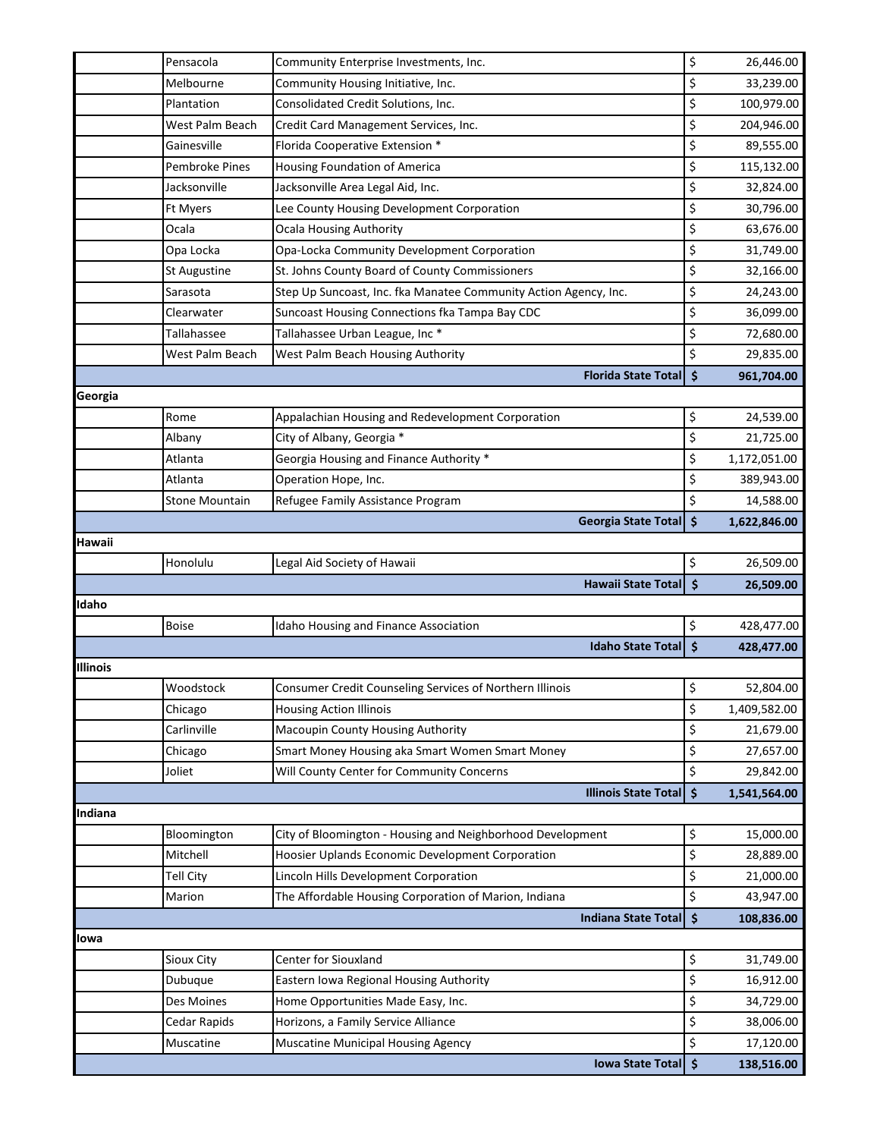|          | Pensacola             | Community Enterprise Investments, Inc.                           | \$                  | 26,446.00               |
|----------|-----------------------|------------------------------------------------------------------|---------------------|-------------------------|
|          | Melbourne             | Community Housing Initiative, Inc.                               | \$                  | 33,239.00               |
|          | Plantation            | Consolidated Credit Solutions, Inc.                              | \$                  | 100,979.00              |
|          | West Palm Beach       | Credit Card Management Services, Inc.                            | \$                  | 204,946.00              |
|          | Gainesville           | Florida Cooperative Extension *                                  | \$                  | 89,555.00               |
|          | Pembroke Pines        | Housing Foundation of America                                    | \$                  | 115,132.00              |
|          | Jacksonville          | Jacksonville Area Legal Aid, Inc.                                | \$                  | 32,824.00               |
|          | <b>Ft Myers</b>       | Lee County Housing Development Corporation                       | \$                  | 30,796.00               |
|          | Ocala                 | <b>Ocala Housing Authority</b>                                   | \$                  | 63,676.00               |
|          | Opa Locka             | Opa-Locka Community Development Corporation                      | \$                  | 31,749.00               |
|          | St Augustine          | St. Johns County Board of County Commissioners                   | \$                  | 32,166.00               |
|          | Sarasota              | Step Up Suncoast, Inc. fka Manatee Community Action Agency, Inc. | \$                  | 24,243.00               |
|          | Clearwater            | Suncoast Housing Connections fka Tampa Bay CDC                   | \$                  | 36,099.00               |
|          | Tallahassee           | Tallahassee Urban League, Inc *                                  | \$                  | 72,680.00               |
|          | West Palm Beach       | West Palm Beach Housing Authority                                | \$                  | 29,835.00               |
|          |                       | <b>Florida State Total</b>                                       | $\ddot{\mathsf{s}}$ | 961,704.00              |
| Georgia  |                       |                                                                  |                     |                         |
|          | Rome                  | Appalachian Housing and Redevelopment Corporation                | \$                  | 24,539.00               |
|          | Albany                | City of Albany, Georgia *                                        | \$                  | 21,725.00               |
|          | Atlanta               | Georgia Housing and Finance Authority *                          | \$                  | 1,172,051.00            |
|          | Atlanta               | Operation Hope, Inc.                                             | \$                  | 389,943.00              |
|          | <b>Stone Mountain</b> | Refugee Family Assistance Program                                | \$                  | 14,588.00               |
|          |                       | <b>Georgia State Total</b>                                       | $\dot{\mathsf{s}}$  | 1,622,846.00            |
| Hawaii   |                       |                                                                  |                     |                         |
|          | Honolulu              | Legal Aid Society of Hawaii                                      | \$                  | 26,509.00               |
|          |                       | <b>Hawaii State Total</b>                                        | $\ddot{\bm{\zeta}}$ | 26,509.00               |
| Idaho    |                       |                                                                  |                     |                         |
|          | <b>Boise</b>          | Idaho Housing and Finance Association                            | \$                  | 428,477.00              |
|          |                       | <b>Idaho State Total</b>                                         | $\ddot{\bm{\zeta}}$ | 428,477.00              |
| Illinois |                       |                                                                  |                     |                         |
|          | Woodstock             | Consumer Credit Counseling Services of Northern Illinois         | \$                  | 52,804.00               |
|          | Chicago               | <b>Housing Action Illinois</b>                                   | \$                  | 1,409,582.00            |
|          | Carlinville           | Macoupin County Housing Authority                                | \$                  | 21,679.00               |
|          | Chicago               | Smart Money Housing aka Smart Women Smart Money                  | \$                  | 27,657.00               |
|          | Joliet                | Will County Center for Community Concerns                        | \$                  | 29,842.00               |
|          |                       | <b>Illinois State Total</b>                                      | $\ddot{\bm{\zeta}}$ | 1,541,564.00            |
| Indiana  |                       |                                                                  |                     |                         |
|          | Bloomington           | City of Bloomington - Housing and Neighborhood Development       | \$                  | 15,000.00               |
|          | Mitchell              | Hoosier Uplands Economic Development Corporation                 | \$                  | 28,889.00               |
|          | Tell City             | Lincoln Hills Development Corporation                            | \$                  | 21,000.00               |
|          |                       |                                                                  |                     |                         |
|          | Marion                | The Affordable Housing Corporation of Marion, Indiana            | \$                  | 43,947.00               |
|          |                       | <b>Indiana State Total</b>                                       | $\ddot{\mathsf{s}}$ | 108,836.00              |
| lowa     |                       |                                                                  |                     |                         |
|          | Sioux City            | Center for Siouxland                                             | \$                  | 31,749.00               |
|          | Dubuque               | Eastern Iowa Regional Housing Authority                          | \$                  | 16,912.00               |
|          | Des Moines            | Home Opportunities Made Easy, Inc.                               | \$                  | 34,729.00               |
|          | Cedar Rapids          | Horizons, a Family Service Alliance                              | \$                  | 38,006.00               |
|          | Muscatine             | Muscatine Municipal Housing Agency<br><b>Iowa State Total</b>    | \$<br>۱\$           | 17,120.00<br>138,516.00 |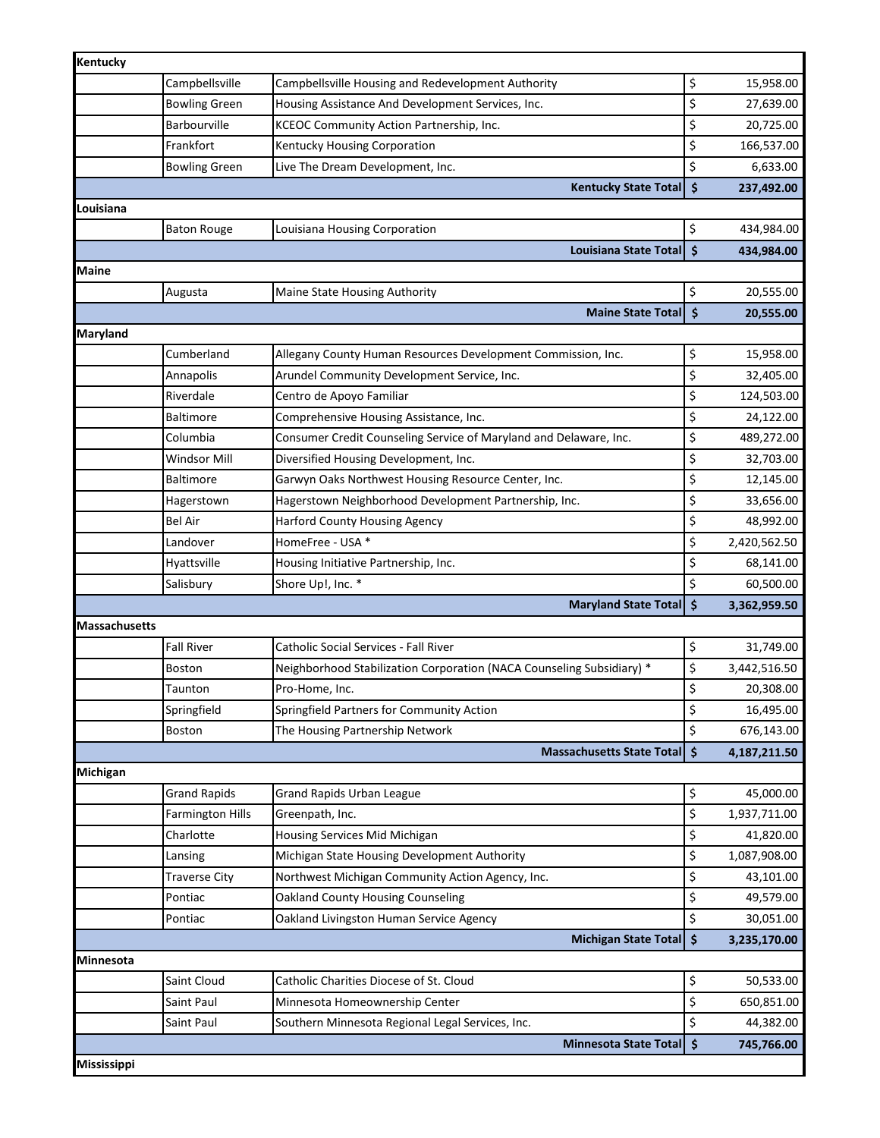| Kentucky      |                         |                                                                       |                     |              |
|---------------|-------------------------|-----------------------------------------------------------------------|---------------------|--------------|
|               | Campbellsville          | Campbellsville Housing and Redevelopment Authority                    | \$                  | 15,958.00    |
|               | <b>Bowling Green</b>    | Housing Assistance And Development Services, Inc.                     | \$                  | 27,639.00    |
|               | <b>Barbourville</b>     | KCEOC Community Action Partnership, Inc.                              | \$                  | 20,725.00    |
|               | Frankfort               | Kentucky Housing Corporation                                          | \$                  | 166,537.00   |
|               | <b>Bowling Green</b>    | Live The Dream Development, Inc.                                      | \$                  | 6,633.00     |
|               |                         | <b>Kentucky State Total</b>                                           | $\ddot{\bm{\zeta}}$ | 237,492.00   |
| Louisiana     |                         |                                                                       |                     |              |
|               | <b>Baton Rouge</b>      | Louisiana Housing Corporation                                         | \$                  | 434,984.00   |
|               |                         | <b>Louisiana State Total</b>                                          | $\dot{\mathsf{s}}$  | 434,984.00   |
| Maine         |                         |                                                                       |                     |              |
|               | Augusta                 | Maine State Housing Authority                                         | \$                  | 20,555.00    |
|               |                         | <b>Maine State Totall</b>                                             | $\dot{\mathsf{s}}$  | 20,555.00    |
| Maryland      |                         |                                                                       |                     |              |
|               | Cumberland              | Allegany County Human Resources Development Commission, Inc.          | \$                  | 15,958.00    |
|               | Annapolis               | Arundel Community Development Service, Inc.                           | \$                  | 32,405.00    |
|               | Riverdale               | Centro de Apoyo Familiar                                              | \$                  | 124,503.00   |
|               | <b>Baltimore</b>        | Comprehensive Housing Assistance, Inc.                                | \$                  | 24,122.00    |
|               | Columbia                | Consumer Credit Counseling Service of Maryland and Delaware, Inc.     | \$                  | 489,272.00   |
|               | <b>Windsor Mill</b>     | Diversified Housing Development, Inc.                                 | \$                  | 32,703.00    |
|               | <b>Baltimore</b>        | Garwyn Oaks Northwest Housing Resource Center, Inc.                   | \$                  | 12,145.00    |
|               | Hagerstown              | Hagerstown Neighborhood Development Partnership, Inc.                 | \$                  | 33,656.00    |
|               | Bel Air                 | <b>Harford County Housing Agency</b>                                  | \$                  | 48,992.00    |
|               | Landover                | HomeFree - USA *                                                      | \$                  | 2,420,562.50 |
|               | Hyattsville             | Housing Initiative Partnership, Inc.                                  | \$                  | 68,141.00    |
|               | Salisbury               | Shore Up!, Inc. *                                                     | \$                  | 60,500.00    |
|               |                         | <b>Maryland State Total</b>                                           | \$                  | 3,362,959.50 |
| Massachusetts |                         |                                                                       |                     |              |
|               | <b>Fall River</b>       | Catholic Social Services - Fall River                                 | \$                  | 31,749.00    |
|               | <b>Boston</b>           | Neighborhood Stabilization Corporation (NACA Counseling Subsidiary) * | \$                  | 3,442,516.50 |
|               | Taunton                 | Pro-Home, Inc.                                                        | \$                  | 20,308.00    |
|               | Springfield             | Springfield Partners for Community Action                             | \$                  | 16,495.00    |
|               | <b>Boston</b>           | The Housing Partnership Network                                       | \$                  | 676,143.00   |
|               |                         | <b>Massachusetts State Total</b>                                      | \$                  | 4,187,211.50 |
| Michigan      |                         |                                                                       |                     |              |
|               | <b>Grand Rapids</b>     | <b>Grand Rapids Urban League</b>                                      | \$                  | 45,000.00    |
|               | <b>Farmington Hills</b> | Greenpath, Inc.                                                       | \$                  | 1,937,711.00 |
|               | Charlotte               | Housing Services Mid Michigan                                         | \$                  | 41,820.00    |
|               | Lansing                 | Michigan State Housing Development Authority                          | \$                  | 1,087,908.00 |
|               | <b>Traverse City</b>    | Northwest Michigan Community Action Agency, Inc.                      | \$                  | 43,101.00    |
|               | Pontiac                 | Oakland County Housing Counseling                                     | \$                  | 49,579.00    |
|               | Pontiac                 | Oakland Livingston Human Service Agency                               | \$                  | 30,051.00    |
|               |                         | <b>Michigan State Total</b>                                           | $\dot{\mathsf{s}}$  | 3,235,170.00 |
| Minnesota     |                         |                                                                       |                     |              |
|               | Saint Cloud             | Catholic Charities Diocese of St. Cloud                               | \$                  | 50,533.00    |
|               | Saint Paul              | Minnesota Homeownership Center                                        | \$                  | 650,851.00   |
|               | Saint Paul              | Southern Minnesota Regional Legal Services, Inc.                      | \$                  | 44,382.00    |
|               |                         | <b>Minnesota State Total</b>                                          | $\ddot{\bm{\zeta}}$ | 745,766.00   |
| Mississippi   |                         |                                                                       |                     |              |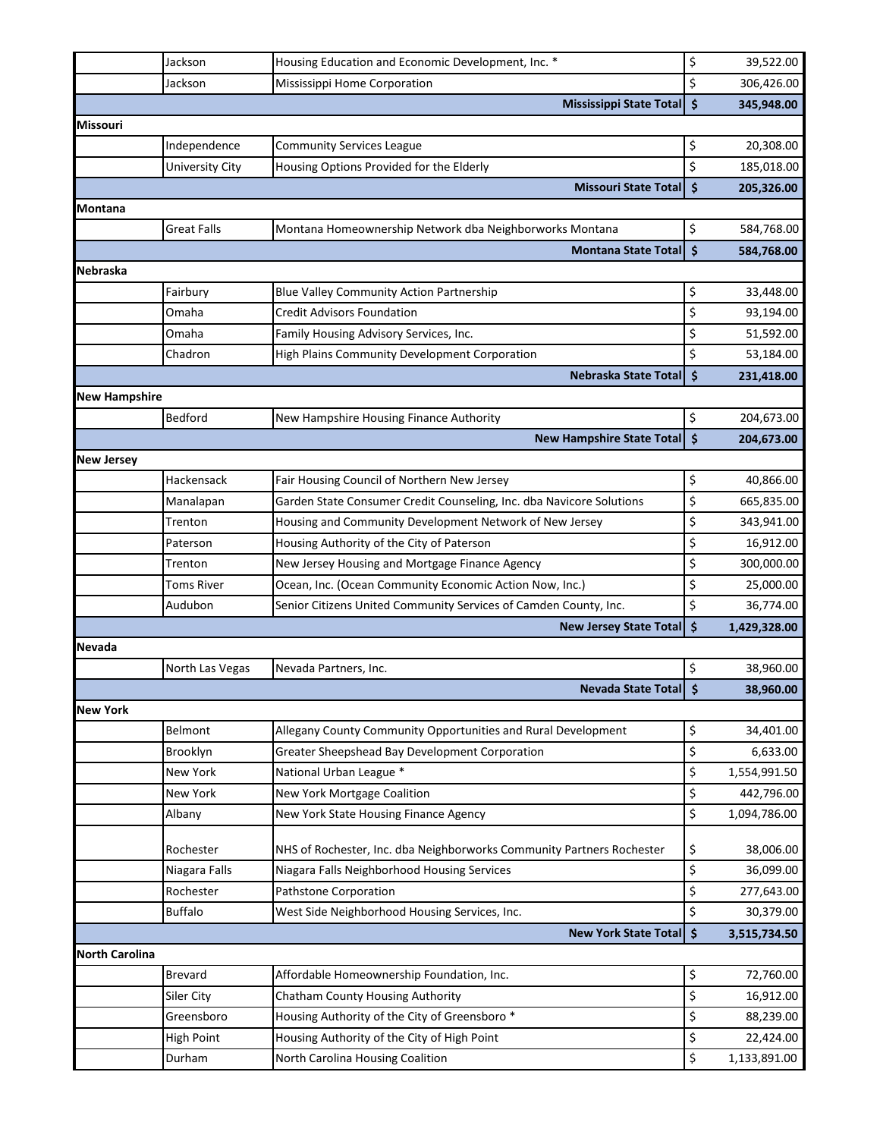|                       | Jackson            | Housing Education and Economic Development, Inc. *                    | \$                  | 39,522.00    |
|-----------------------|--------------------|-----------------------------------------------------------------------|---------------------|--------------|
|                       | Jackson            | Mississippi Home Corporation                                          | \$                  | 306,426.00   |
|                       |                    | <b>Mississippi State Total</b>                                        | $\dot{\mathsf{s}}$  | 345,948.00   |
| <b>Missouri</b>       |                    |                                                                       |                     |              |
|                       | Independence       | <b>Community Services League</b>                                      | \$                  | 20,308.00    |
|                       | University City    | Housing Options Provided for the Elderly                              | \$                  | 185,018.00   |
|                       |                    | <b>Missouri State Total</b>                                           | $\ddot{\bm{\zeta}}$ | 205,326.00   |
| Montana               |                    |                                                                       |                     |              |
|                       | <b>Great Falls</b> | Montana Homeownership Network dba Neighborworks Montana               | \$                  | 584,768.00   |
|                       |                    | <b>Montana State Total</b>                                            | $\mathsf{\hat{S}}$  | 584,768.00   |
| <b>Nebraska</b>       |                    |                                                                       |                     |              |
|                       | Fairbury           | <b>Blue Valley Community Action Partnership</b>                       | \$                  | 33,448.00    |
|                       | Omaha              | <b>Credit Advisors Foundation</b>                                     | \$                  | 93,194.00    |
|                       | Omaha              | Family Housing Advisory Services, Inc.                                | \$                  | 51,592.00    |
|                       | Chadron            | High Plains Community Development Corporation                         | \$                  | 53,184.00    |
|                       |                    | Nebraska State Total                                                  | $\ddot{\mathsf{s}}$ | 231,418.00   |
| <b>New Hampshire</b>  |                    |                                                                       |                     |              |
|                       | Bedford            | New Hampshire Housing Finance Authority                               | \$                  | 204,673.00   |
|                       |                    | <b>New Hampshire State Total</b>                                      | $\dot{\mathsf{s}}$  | 204,673.00   |
| <b>New Jersey</b>     |                    |                                                                       |                     |              |
|                       | Hackensack         | Fair Housing Council of Northern New Jersey                           | \$                  | 40,866.00    |
|                       | Manalapan          | Garden State Consumer Credit Counseling, Inc. dba Navicore Solutions  | \$                  | 665,835.00   |
|                       | Trenton            | Housing and Community Development Network of New Jersey               | \$                  | 343,941.00   |
|                       | Paterson           | Housing Authority of the City of Paterson                             | \$                  | 16,912.00    |
|                       | Trenton            | New Jersey Housing and Mortgage Finance Agency                        | \$                  | 300,000.00   |
|                       | <b>Toms River</b>  | Ocean, Inc. (Ocean Community Economic Action Now, Inc.)               | \$                  | 25,000.00    |
|                       | Audubon            | Senior Citizens United Community Services of Camden County, Inc.      | \$                  | 36,774.00    |
|                       |                    | <b>New Jersey State Total</b>                                         | $\dot{\mathsf{s}}$  | 1,429,328.00 |
| <b>Nevada</b>         |                    |                                                                       |                     |              |
|                       | North Las Vegas    | Nevada Partners, Inc.                                                 | \$                  | 38,960.00    |
|                       |                    | <b>Nevada State Totall</b>                                            | $\ddot{\bm{\zeta}}$ | 38,960.00    |
| <b>New York</b>       |                    |                                                                       |                     |              |
|                       | Belmont            | Allegany County Community Opportunities and Rural Development         | \$                  | 34,401.00    |
|                       | Brooklyn           | Greater Sheepshead Bay Development Corporation                        | \$                  | 6,633.00     |
|                       | New York           | National Urban League *                                               | \$                  | 1,554,991.50 |
|                       | <b>New York</b>    | New York Mortgage Coalition                                           | \$                  | 442,796.00   |
|                       | Albany             | New York State Housing Finance Agency                                 | \$                  | 1,094,786.00 |
|                       |                    |                                                                       |                     |              |
|                       | Rochester          | NHS of Rochester, Inc. dba Neighborworks Community Partners Rochester | \$                  | 38,006.00    |
|                       | Niagara Falls      | Niagara Falls Neighborhood Housing Services                           | \$                  | 36,099.00    |
|                       | Rochester          | Pathstone Corporation                                                 | \$                  | 277,643.00   |
|                       | <b>Buffalo</b>     | West Side Neighborhood Housing Services, Inc.                         | \$                  | 30,379.00    |
|                       |                    | <b>New York State Total</b>                                           | $\zeta$             | 3,515,734.50 |
| <b>North Carolina</b> |                    |                                                                       |                     |              |
|                       | <b>Brevard</b>     | Affordable Homeownership Foundation, Inc.                             | \$                  | 72,760.00    |
|                       | Siler City         | Chatham County Housing Authority                                      | \$                  | 16,912.00    |
|                       | Greensboro         | Housing Authority of the City of Greensboro*                          | \$                  | 88,239.00    |
|                       | <b>High Point</b>  | Housing Authority of the City of High Point                           | \$                  | 22,424.00    |
|                       | Durham             | North Carolina Housing Coalition                                      | \$                  | 1,133,891.00 |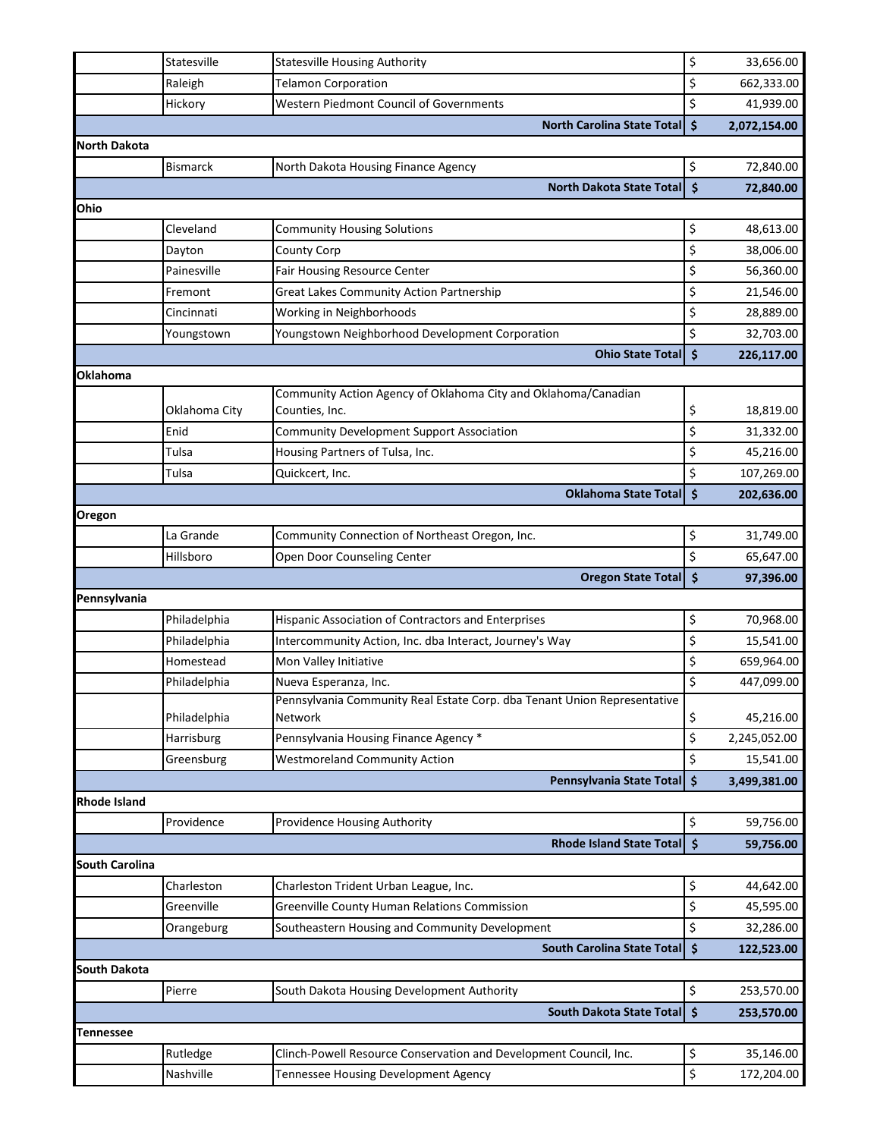|                       | Statesville                | <b>Statesville Housing Authority</b>                                                | \$                  | 33,656.00                 |
|-----------------------|----------------------------|-------------------------------------------------------------------------------------|---------------------|---------------------------|
|                       | Raleigh                    | <b>Telamon Corporation</b>                                                          | \$                  | 662,333.00                |
|                       | Hickory                    | Western Piedmont Council of Governments                                             | \$                  | 41,939.00                 |
|                       |                            | <b>North Carolina State Total</b>                                                   | $\dot{\mathsf{s}}$  | 2,072,154.00              |
| North Dakota          |                            |                                                                                     |                     |                           |
|                       | <b>Bismarck</b>            | North Dakota Housing Finance Agency                                                 | \$                  | 72,840.00                 |
|                       |                            | <b>North Dakota State Total</b>                                                     | $\ddot{\bm{\zeta}}$ | 72,840.00                 |
| Ohio                  |                            |                                                                                     |                     |                           |
|                       | Cleveland                  | <b>Community Housing Solutions</b>                                                  | \$                  | 48,613.00                 |
|                       | Dayton                     | County Corp                                                                         | \$                  | 38,006.00                 |
|                       | Painesville                | Fair Housing Resource Center                                                        | \$                  | 56,360.00                 |
|                       | Fremont                    | Great Lakes Community Action Partnership                                            | \$                  | 21,546.00                 |
|                       | Cincinnati                 | Working in Neighborhoods                                                            | \$                  | 28,889.00                 |
|                       | Youngstown                 | Youngstown Neighborhood Development Corporation                                     | \$                  | 32,703.00                 |
|                       |                            | <b>Ohio State Total</b>                                                             | \$                  | 226,117.00                |
| Oklahoma              |                            |                                                                                     |                     |                           |
|                       |                            | Community Action Agency of Oklahoma City and Oklahoma/Canadian                      |                     |                           |
|                       | Oklahoma City              | Counties, Inc.                                                                      | \$                  | 18,819.00                 |
|                       | Enid                       | <b>Community Development Support Association</b>                                    | \$                  | 31,332.00                 |
|                       | Tulsa                      | Housing Partners of Tulsa, Inc.                                                     | \$                  | 45,216.00                 |
|                       | Tulsa                      | Quickcert, Inc.                                                                     | \$                  | 107,269.00                |
|                       |                            | <b>Oklahoma State Total</b>                                                         | $\zeta$             | 202,636.00                |
| Oregon                |                            |                                                                                     |                     |                           |
|                       | La Grande                  | Community Connection of Northeast Oregon, Inc.                                      | \$                  | 31,749.00                 |
|                       | Hillsboro                  | Open Door Counseling Center                                                         | \$                  | 65,647.00                 |
|                       |                            |                                                                                     |                     |                           |
|                       |                            | <b>Oregon State Total</b>                                                           | $\ddot{\bm{\zeta}}$ | 97,396.00                 |
| Pennsylvania          |                            |                                                                                     |                     |                           |
|                       | Philadelphia               | Hispanic Association of Contractors and Enterprises                                 | \$                  | 70,968.00                 |
|                       | Philadelphia               | Intercommunity Action, Inc. dba Interact, Journey's Way                             | \$                  | 15,541.00                 |
|                       | Homestead                  | Mon Valley Initiative                                                               | \$                  | 659,964.00                |
|                       | Philadelphia               | Nueva Esperanza, Inc.                                                               | \$                  | 447,099.00                |
|                       |                            | Pennsylvania Community Real Estate Corp. dba Tenant Union Representative<br>Network |                     |                           |
|                       | Philadelphia<br>Harrisburg |                                                                                     | \$                  | 45,216.00<br>2,245,052.00 |
|                       |                            | Pennsylvania Housing Finance Agency *                                               | \$<br>\$            |                           |
|                       | Greensburg                 | <b>Westmoreland Community Action</b>                                                | l \$                | 15,541.00                 |
| <b>Rhode Island</b>   |                            | Pennsylvania State Total                                                            |                     | 3,499,381.00              |
|                       | Providence                 | <b>Providence Housing Authority</b>                                                 | \$                  | 59,756.00                 |
|                       |                            | <b>Rhode Island State Total</b>                                                     | $\zeta$             | 59,756.00                 |
| <b>South Carolina</b> |                            |                                                                                     |                     |                           |
|                       | Charleston                 | Charleston Trident Urban League, Inc.                                               | \$                  | 44,642.00                 |
|                       | Greenville                 | <b>Greenville County Human Relations Commission</b>                                 |                     |                           |
|                       | Orangeburg                 | Southeastern Housing and Community Development                                      | \$<br>\$            | 45,595.00<br>32,286.00    |
|                       |                            | <b>South Carolina State Total</b>                                                   | $\mathsf{S}$        | 122,523.00                |
| South Dakota          |                            |                                                                                     |                     |                           |
|                       | Pierre                     | South Dakota Housing Development Authority                                          | \$                  | 253,570.00                |
|                       |                            | <b>South Dakota State Total</b>                                                     | $\ddot{\bm{\zeta}}$ | 253,570.00                |
| Tennessee             |                            |                                                                                     |                     |                           |
|                       | Rutledge                   | Clinch-Powell Resource Conservation and Development Council, Inc.                   | \$                  | 35,146.00                 |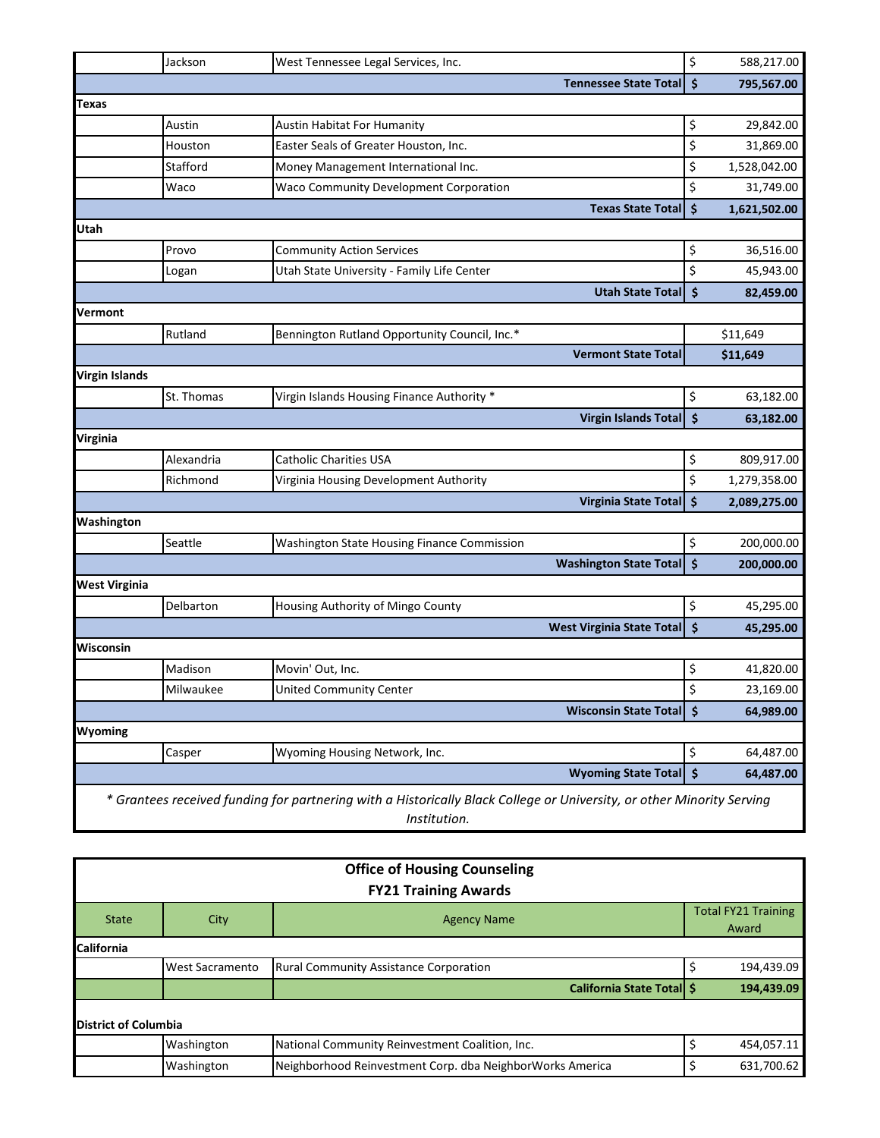|                       | Jackson    | West Tennessee Legal Services, Inc.                                                                                                   | \$           | 588,217.00   |
|-----------------------|------------|---------------------------------------------------------------------------------------------------------------------------------------|--------------|--------------|
|                       |            | <b>Tennessee State Total</b>                                                                                                          | $\zeta$      | 795,567.00   |
| Texas                 |            |                                                                                                                                       |              |              |
|                       | Austin     | Austin Habitat For Humanity                                                                                                           | \$           | 29,842.00    |
|                       | Houston    | Easter Seals of Greater Houston, Inc.                                                                                                 | \$           | 31,869.00    |
|                       | Stafford   | Money Management International Inc.                                                                                                   | \$           | 1,528,042.00 |
|                       | Waco       | Waco Community Development Corporation                                                                                                | \$           | 31,749.00    |
|                       |            | <b>Texas State Total</b>                                                                                                              | $\zeta$      | 1,621,502.00 |
| Utah                  |            |                                                                                                                                       |              |              |
|                       | Provo      | <b>Community Action Services</b>                                                                                                      | \$           | 36,516.00    |
|                       | Logan      | Utah State University - Family Life Center                                                                                            | \$           | 45,943.00    |
|                       |            | <b>Utah State Total</b>                                                                                                               | \$           | 82,459.00    |
| Vermont               |            |                                                                                                                                       |              |              |
|                       | Rutland    | Bennington Rutland Opportunity Council, Inc.*                                                                                         |              | \$11,649     |
|                       |            | <b>Vermont State Total</b>                                                                                                            |              | \$11,649     |
| <b>Virgin Islands</b> |            |                                                                                                                                       |              |              |
|                       | St. Thomas | Virgin Islands Housing Finance Authority *                                                                                            | \$           | 63,182.00    |
|                       |            | <b>Virgin Islands Total</b>                                                                                                           | <b>S</b>     | 63,182.00    |
| Virginia              |            |                                                                                                                                       |              |              |
|                       | Alexandria | <b>Catholic Charities USA</b>                                                                                                         | \$           | 809,917.00   |
|                       | Richmond   | Virginia Housing Development Authority                                                                                                | \$           | 1,279,358.00 |
|                       |            | Virginia State Total                                                                                                                  | $\mathsf{S}$ | 2,089,275.00 |
| Washington            |            |                                                                                                                                       |              |              |
|                       | Seattle    | Washington State Housing Finance Commission                                                                                           | \$           | 200,000.00   |
|                       |            | <b>Washington State Total</b>                                                                                                         | $\mathsf{S}$ | 200,000.00   |
| <b>West Virginia</b>  |            |                                                                                                                                       |              |              |
|                       | Delbarton  | Housing Authority of Mingo County                                                                                                     | \$           | 45,295.00    |
|                       |            | West Virginia State Total \$                                                                                                          |              | 45,295.00    |
| Wisconsin             |            |                                                                                                                                       |              |              |
|                       | Madison    | Movin' Out, Inc.                                                                                                                      | \$           | 41,820.00    |
|                       | Milwaukee  | <b>United Community Center</b>                                                                                                        | \$           | 23.169.00    |
|                       |            | <b>Wisconsin State Total</b>                                                                                                          | Ś            | 64,989.00    |
| Wyoming               |            |                                                                                                                                       |              |              |
|                       | Casper     | Wyoming Housing Network, Inc.                                                                                                         | \$           | 64,487.00    |
|                       |            | Wyoming State Total \$                                                                                                                |              | 64,487.00    |
|                       |            | * Grantees received funding for partnering with a Historically Black College or University, or other Minority Serving<br>Institution. |              |              |

| <b>Office of Housing Counseling</b><br><b>FY21 Training Awards</b> |                        |                                                           |  |                                     |  |  |
|--------------------------------------------------------------------|------------------------|-----------------------------------------------------------|--|-------------------------------------|--|--|
| <b>State</b>                                                       | City                   | <b>Agency Name</b>                                        |  | <b>Total FY21 Training</b><br>Award |  |  |
| <b>California</b>                                                  |                        |                                                           |  |                                     |  |  |
|                                                                    | <b>West Sacramento</b> | <b>Rural Community Assistance Corporation</b>             |  | 194,439.09                          |  |  |
|                                                                    |                        | California State Total \$                                 |  | 194,439.09                          |  |  |
| District of Columbia                                               |                        |                                                           |  |                                     |  |  |
|                                                                    | Washington             | National Community Reinvestment Coalition, Inc.           |  | 454,057.11                          |  |  |
|                                                                    | Washington             | Neighborhood Reinvestment Corp. dba NeighborWorks America |  | 631,700.62                          |  |  |